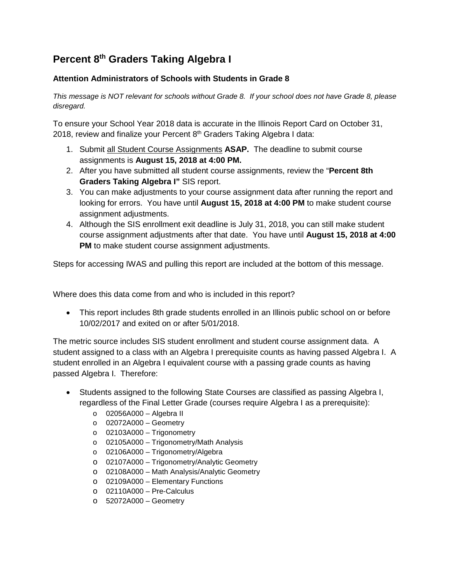## **Percent 8th Graders Taking Algebra I**

## **Attention Administrators of Schools with Students in Grade 8**

*This message is NOT relevant for schools without Grade 8. If your school does not have Grade 8, please disregard.*

To ensure your School Year 2018 data is accurate in the Illinois Report Card on October 31, 2018, review and finalize your Percent  $8<sup>th</sup>$  Graders Taking Algebra I data:

- 1. Submit all Student Course Assignments **ASAP.** The deadline to submit course assignments is **August 15, 2018 at 4:00 PM.**
- 2. After you have submitted all student course assignments, review the "**Percent 8th Graders Taking Algebra I"** SIS report.
- 3. You can make adjustments to your course assignment data after running the report and looking for errors. You have until **August 15, 2018 at 4:00 PM** to make student course assignment adjustments.
- 4. Although the SIS enrollment exit deadline is July 31, 2018, you can still make student course assignment adjustments after that date. You have until **August 15, 2018 at 4:00 PM** to make student course assignment adjustments.

Steps for accessing IWAS and pulling this report are included at the bottom of this message.

Where does this data come from and who is included in this report?

• This report includes 8th grade students enrolled in an Illinois public school on or before 10/02/2017 and exited on or after 5/01/2018.

The metric source includes SIS student enrollment and student course assignment data. A student assigned to a class with an Algebra I prerequisite counts as having passed Algebra I. A student enrolled in an Algebra I equivalent course with a passing grade counts as having passed Algebra I. Therefore:

- Students assigned to the following State Courses are classified as passing Algebra I, regardless of the Final Letter Grade (courses require Algebra I as a prerequisite):
	- o 02056A000 Algebra II
	- o 02072A000 Geometry
	- $\circ$  02103A000 Trigonometry
	- o 02105A000 Trigonometry/Math Analysis
	- o 02106A000 Trigonometry/Algebra
	- o 02107A000 Trigonometry/Analytic Geometry
	- o 02108A000 Math Analysis/Analytic Geometry
	- o 02109A000 Elementary Functions
	- o 02110A000 Pre-Calculus
	- o 52072A000 Geometry